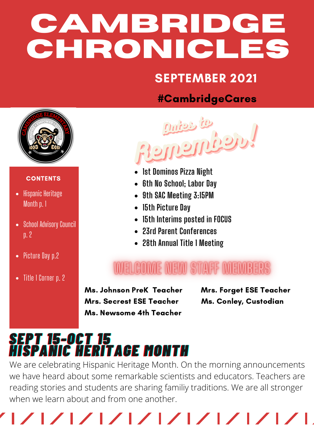# **CAMBRIDGE CHRONICLES**

### SEPTEMBER 2021

#### #CambridgeCares



#### **CONTENTS**

- Hispanic Heritage Month p. 1
- School Advisory Council p. 2
- Picture Day p.2
- Title 1 Corner p. 2



- **1st Dominos Pizza Night**
- **6th No School; Labor Day**
- **9th SAC Meeting 3:15PM**
- **15th Picture Day**
- **15th Interims posted in FOCUS**
- **23rd Parent Conferences**
- **28th Annual Title 1 Meeting**

### WELCOWE NEW STAFF WEWDERS

Ms. Johnson PreK Teacher Mrs. Forget ESE Teacher Mrs. Secrest ESE Teacher Ms. Conley, Custodian Ms. Newsome 4th Teacher

## **SEPT 15-OCT 15** *HHIISSPPAANNIICC HHEERRIITTAAGGEE MMOONNTTHH*

We are celebrating Hispanic Heritage Month. On the morning announcements we have heard about some remarkable scientists and educators. Teachers are reading stories and students are sharing familiy traditions. We are all stronger when we learn about and from one another.

|/ |/ |/ |/ |/ |/ |/ |/ |/ |/